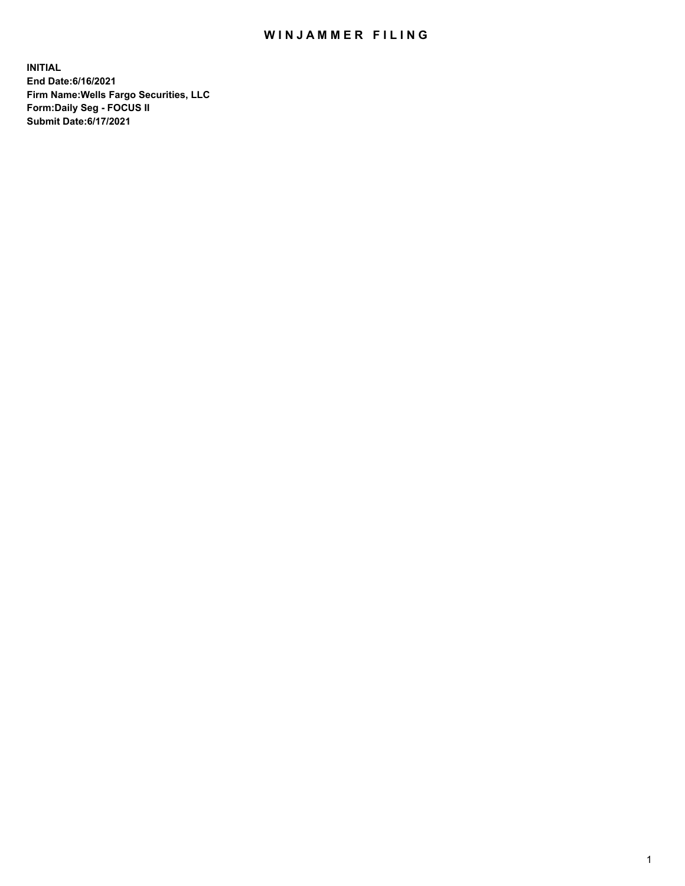## WIN JAMMER FILING

**INITIAL End Date:6/16/2021 Firm Name:Wells Fargo Securities, LLC Form:Daily Seg - FOCUS II Submit Date:6/17/2021**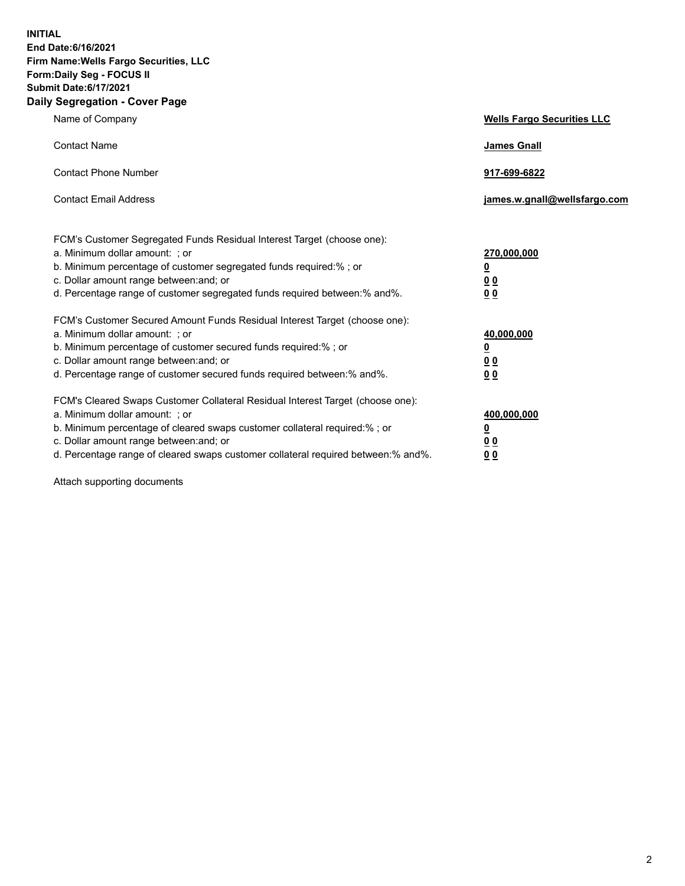**INITIAL End Date:6/16/2021 Firm Name:Wells Fargo Securities, LLC Form:Daily Seg - FOCUS II Submit Date:6/17/2021 Daily Segregation - Cover Page**

| Name of Company                                                                                                                                                                                                                                                                                                                | <b>Wells Fargo Securities LLC</b>                                           |
|--------------------------------------------------------------------------------------------------------------------------------------------------------------------------------------------------------------------------------------------------------------------------------------------------------------------------------|-----------------------------------------------------------------------------|
| <b>Contact Name</b>                                                                                                                                                                                                                                                                                                            | <b>James Gnall</b>                                                          |
| <b>Contact Phone Number</b>                                                                                                                                                                                                                                                                                                    | 917-699-6822                                                                |
| <b>Contact Email Address</b>                                                                                                                                                                                                                                                                                                   | james.w.gnall@wellsfargo.com                                                |
| FCM's Customer Segregated Funds Residual Interest Target (choose one):<br>a. Minimum dollar amount: ; or<br>b. Minimum percentage of customer segregated funds required:% ; or<br>c. Dollar amount range between: and; or<br>d. Percentage range of customer segregated funds required between: % and %.                       | 270,000,000<br>$\underline{\mathbf{0}}$<br>0 <sub>0</sub><br>0 <sub>0</sub> |
| FCM's Customer Secured Amount Funds Residual Interest Target (choose one):<br>a. Minimum dollar amount: ; or<br>b. Minimum percentage of customer secured funds required:%; or<br>c. Dollar amount range between: and; or<br>d. Percentage range of customer secured funds required between: % and %.                          | 40,000,000<br>$\overline{\mathbf{0}}$<br>00<br>0 <sub>0</sub>               |
| FCM's Cleared Swaps Customer Collateral Residual Interest Target (choose one):<br>a. Minimum dollar amount: ; or<br>b. Minimum percentage of cleared swaps customer collateral required:% ; or<br>c. Dollar amount range between: and; or<br>d. Percentage range of cleared swaps customer collateral required between:% and%. | 400,000,000<br><u>0</u><br>00<br>00                                         |

Attach supporting documents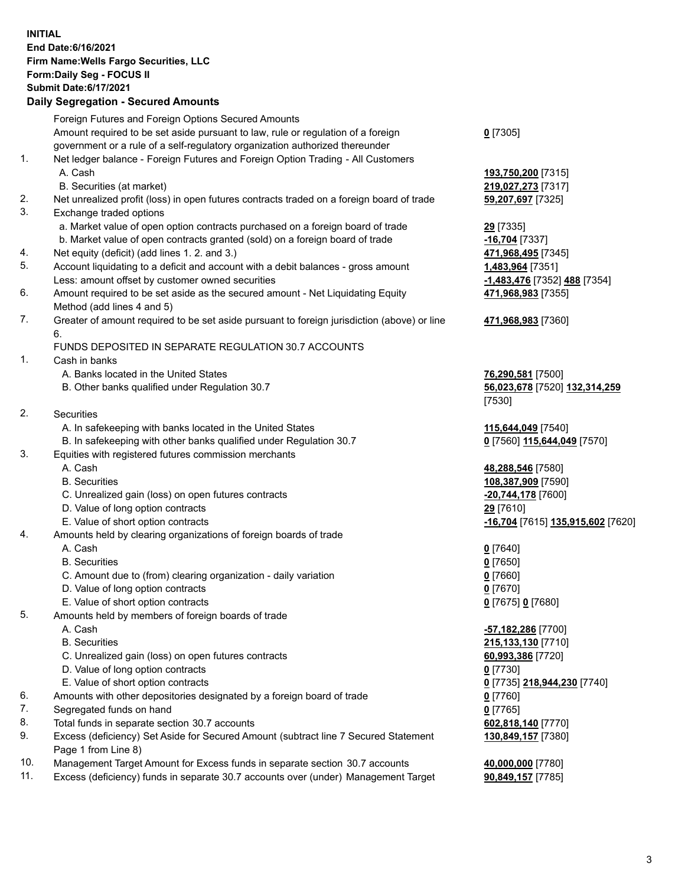**INITIAL End Date:6/16/2021 Firm Name:Wells Fargo Securities, LLC Form:Daily Seg - FOCUS II Submit Date:6/17/2021**

## **Daily Segregation - Secured Amounts**

|    | Foreign Futures and Foreign Options Secured Amounts                                         |                                   |
|----|---------------------------------------------------------------------------------------------|-----------------------------------|
|    | Amount required to be set aside pursuant to law, rule or regulation of a foreign            | $0$ [7305]                        |
|    | government or a rule of a self-regulatory organization authorized thereunder                |                                   |
| 1. | Net ledger balance - Foreign Futures and Foreign Option Trading - All Customers             |                                   |
|    | A. Cash                                                                                     | 193,750,200 [7315]                |
|    | B. Securities (at market)                                                                   | 219,027,273 [7317]                |
| 2. | Net unrealized profit (loss) in open futures contracts traded on a foreign board of trade   | 59,207,697 [7325]                 |
| 3. | Exchange traded options                                                                     |                                   |
|    | a. Market value of open option contracts purchased on a foreign board of trade              | 29 [7335]                         |
|    | b. Market value of open contracts granted (sold) on a foreign board of trade                | -16,704 [7337]                    |
| 4. | Net equity (deficit) (add lines 1. 2. and 3.)                                               | 471,968,495 [7345]                |
| 5. | Account liquidating to a deficit and account with a debit balances - gross amount           | 1,483,964 [7351]                  |
|    | Less: amount offset by customer owned securities                                            | -1,483,476 [7352] 488 [7354]      |
| 6. | Amount required to be set aside as the secured amount - Net Liquidating Equity              | 471,968,983 [7355]                |
|    | Method (add lines 4 and 5)                                                                  |                                   |
| 7. | Greater of amount required to be set aside pursuant to foreign jurisdiction (above) or line | 471,968,983 [7360]                |
|    | 6.                                                                                          |                                   |
|    | FUNDS DEPOSITED IN SEPARATE REGULATION 30.7 ACCOUNTS                                        |                                   |
| 1. | Cash in banks                                                                               |                                   |
|    | A. Banks located in the United States                                                       | 76,290,581 [7500]                 |
|    | B. Other banks qualified under Regulation 30.7                                              | 56,023,678 [7520] 132,314,259     |
|    |                                                                                             | [7530]                            |
| 2. | Securities                                                                                  |                                   |
|    | A. In safekeeping with banks located in the United States                                   | 115,644,049 [7540]                |
|    | B. In safekeeping with other banks qualified under Regulation 30.7                          | 0 [7560] 115,644,049 [7570]       |
| 3. | Equities with registered futures commission merchants                                       |                                   |
|    | A. Cash                                                                                     | 48,288,546 [7580]                 |
|    | <b>B.</b> Securities                                                                        | 108,387,909 [7590]                |
|    | C. Unrealized gain (loss) on open futures contracts                                         | -20,744,178 [7600]                |
|    | D. Value of long option contracts                                                           | 29 [7610]                         |
|    | E. Value of short option contracts                                                          | -16,704 [7615] 135,915,602 [7620] |
| 4. | Amounts held by clearing organizations of foreign boards of trade                           |                                   |
|    | A. Cash                                                                                     | $0$ [7640]                        |
|    | <b>B.</b> Securities                                                                        | $0$ [7650]                        |
|    | C. Amount due to (from) clearing organization - daily variation                             | $0$ [7660]                        |
|    | D. Value of long option contracts                                                           | $0$ [7670]                        |
|    | E. Value of short option contracts                                                          | 0 [7675] 0 [7680]                 |
| 5. | Amounts held by members of foreign boards of trade                                          |                                   |
|    | A. Cash                                                                                     | -57,182,286 [7700]                |
|    | <b>B.</b> Securities                                                                        | 215,133,130 [7710]                |
|    | C. Unrealized gain (loss) on open futures contracts                                         | 60,993,386 [7720]                 |
|    | D. Value of long option contracts                                                           | $0$ [7730]                        |
|    | E. Value of short option contracts                                                          | 0 [7735] 218,944,230 [7740]       |
| 6. | Amounts with other depositories designated by a foreign board of trade                      | $0$ [7760]                        |
| 7. | Segregated funds on hand                                                                    | $0$ [7765]                        |
| 8. | Total funds in separate section 30.7 accounts                                               | 602,818,140 [7770]                |
| 9. | Excess (deficiency) Set Aside for Secured Amount (subtract line 7 Secured Statement         | 130,849,157 [7380]                |
|    | Page 1 from Line 8)                                                                         |                                   |

- 10. Management Target Amount for Excess funds in separate section 30.7 accounts **40,000,000** [7780]
- 11. Excess (deficiency) funds in separate 30.7 accounts over (under) Management Target **90,849,157** [7785]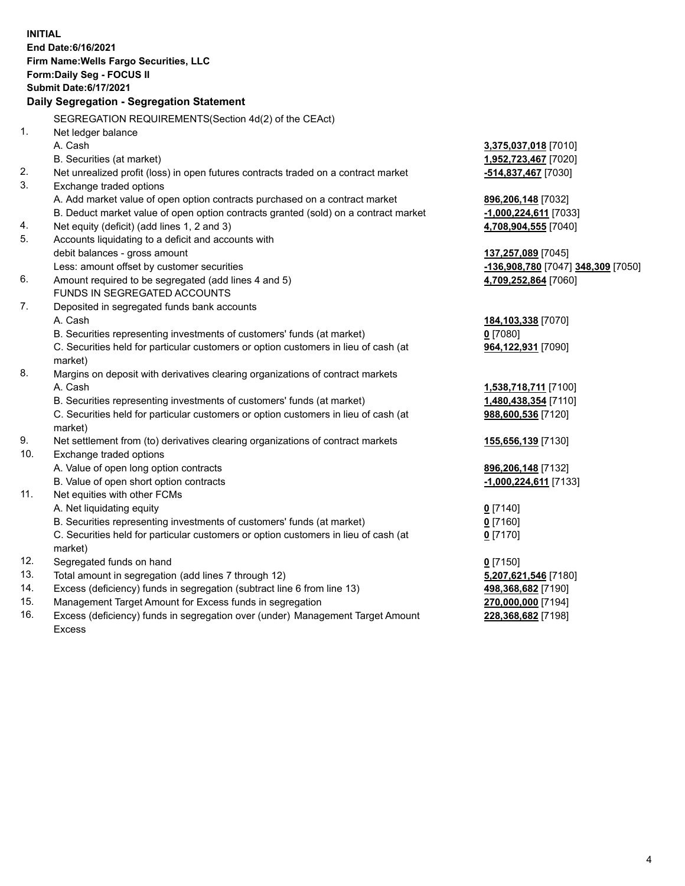**INITIAL End Date:6/16/2021 Firm Name:Wells Fargo Securities, LLC Form:Daily Seg - FOCUS II Submit Date:6/17/2021 Daily Segregation - Segregation Statement** SEGREGATION REQUIREMENTS(Section 4d(2) of the CEAct) 1. Net ledger balance A. Cash **3,375,037,018** [7010] B. Securities (at market) **1,952,723,467** [7020] 2. Net unrealized profit (loss) in open futures contracts traded on a contract market **-514,837,467** [7030] 3. Exchange traded options A. Add market value of open option contracts purchased on a contract market **896,206,148** [7032] B. Deduct market value of open option contracts granted (sold) on a contract market **-1,000,224,611** [7033] 4. Net equity (deficit) (add lines 1, 2 and 3) **4,708,904,555** [7040] 5. Accounts liquidating to a deficit and accounts with debit balances - gross amount **137,257,089** [7045] Less: amount offset by customer securities **-136,908,780** [7047] **348,309** [7050] 6. Amount required to be segregated (add lines 4 and 5) **4,709,252,864** [7060] FUNDS IN SEGREGATED ACCOUNTS 7. Deposited in segregated funds bank accounts A. Cash **184,103,338** [7070] B. Securities representing investments of customers' funds (at market) **0** [7080] C. Securities held for particular customers or option customers in lieu of cash (at market) **964,122,931** [7090] 8. Margins on deposit with derivatives clearing organizations of contract markets A. Cash **1,538,718,711** [7100] B. Securities representing investments of customers' funds (at market) **1,480,438,354** [7110] C. Securities held for particular customers or option customers in lieu of cash (at market) **988,600,536** [7120] 9. Net settlement from (to) derivatives clearing organizations of contract markets **155,656,139** [7130] 10. Exchange traded options A. Value of open long option contracts **896,206,148** [7132] B. Value of open short option contracts **-1,000,224,611** [7133] 11. Net equities with other FCMs A. Net liquidating equity **0** [7140] B. Securities representing investments of customers' funds (at market) **0** [7160] C. Securities held for particular customers or option customers in lieu of cash (at market) **0** [7170] 12. Segregated funds on hand **0** [7150] 13. Total amount in segregation (add lines 7 through 12) **5,207,621,546** [7180] 14. Excess (deficiency) funds in segregation (subtract line 6 from line 13) **498,368,682** [7190] 15. Management Target Amount for Excess funds in segregation **270,000,000** [7194]

16. Excess (deficiency) funds in segregation over (under) Management Target Amount Excess

**228,368,682** [7198]